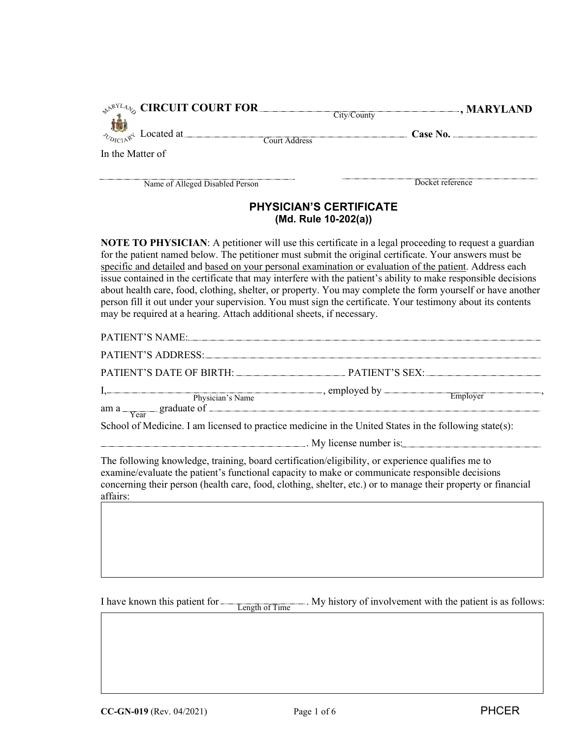| $\sim_{\mathbb{A}^{\mathbb{A}^{\mathrm{N}}L4}\mathbb{V}_{\mathrm{O}}}$ CIRCUIT COURT FOR. | City/County | $\Box$ , MARYLAND |
|-------------------------------------------------------------------------------------------|-------------|-------------------|
| $\sim_{\text{Dirichlet}}$ Located at $=$<br>Court Address                                 |             | Case No.          |
| In the Matter of                                                                          |             |                   |
| Name of Alleged Disabled Person                                                           |             | Docket reference  |

# **PHYSICIAN'S CERTIFICATE (Md. Rule 10-202(a))**

**NOTE TO PHYSICIAN**: A petitioner will use this certificate in a legal proceeding to request a guardian for the patient named below. The petitioner must submit the original certificate. Your answers must be specific and detailed and based on your personal examination or evaluation of the patient. Address each issue contained in the certificate that may interfere with the patient's ability to make responsible decisions about health care, food, clothing, shelter, or property. You may complete the form yourself or have another person fill it out under your supervision. You must sign the certificate. Your testimony about its contents may be required at a hearing. Attach additional sheets, if necessary.

| PATIENT'S NAME:                                                                                               |                                                                                                                                                                                                                                                                                                                                                              |
|---------------------------------------------------------------------------------------------------------------|--------------------------------------------------------------------------------------------------------------------------------------------------------------------------------------------------------------------------------------------------------------------------------------------------------------------------------------------------------------|
| PATIENT'S ADDRESS:                                                                                            |                                                                                                                                                                                                                                                                                                                                                              |
|                                                                                                               |                                                                                                                                                                                                                                                                                                                                                              |
|                                                                                                               | $I,$ Physician's Name<br>am a $Y_{\text{ear}}$ graduate of $\frac{P_{\text{H}}}{P_{\text{ear}}}$ and $\frac{P_{\text{H}}}{P_{\text{ear}}}$ and $\frac{P_{\text{H}}}{P_{\text{ear}}}$ and $\frac{P_{\text{H}}}{P_{\text{ear}}}$ and $\frac{P_{\text{H}}}{P_{\text{ear}}}$ and $\frac{P_{\text{H}}}{P_{\text{ear}}}$ and $\frac{P_{\text{H}}}{P_{\text{ear}}}$ |
|                                                                                                               | School of Medicine. I am licensed to practice medicine in the United States in the following state(s):                                                                                                                                                                                                                                                       |
|                                                                                                               | $\sim$ My license number is:                                                                                                                                                                                                                                                                                                                                 |
| The following knowledge, training, board certification/eligibility, or experience qualifies me to<br>affairs: | examine/evaluate the patient's functional capacity to make or communicate responsible decisions<br>concerning their person (health care, food, clothing, shelter, etc.) or to manage their property or financial                                                                                                                                             |
|                                                                                                               |                                                                                                                                                                                                                                                                                                                                                              |

I have known this patient for  $\frac{1}{\sqrt{2}}$ . My history of involvement with the patient is as follows: Length of Time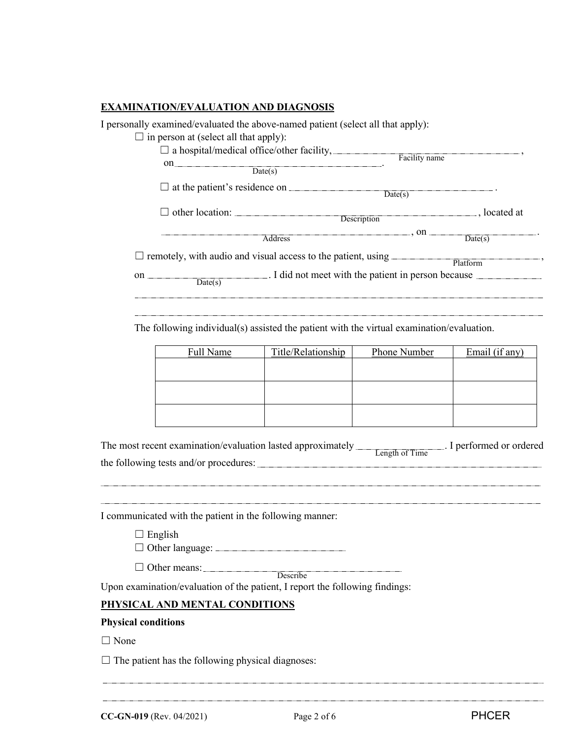### **EXAMINATION/EVALUATION AND DIAGNOSIS**

I personally examined/evaluated the above-named patient (select all that apply):

- $\Box$  in person at (select all that apply):
	- $\Box$  a hospital/medical office/other facility,  $\Box$ on <u>\_\_\_\_\_\_\_\_\_\_\_\_\_</u>  $Date(s)$ Facility name

☐ at the patient's residence on . Date(s)

□ other location: Description best at the set of the set of the set of the set of the set of the set of the set of the set of the set of the set of the set of the set of the set of the set of the set of the set of the set

 $\overline{\mathsf{Address}}$  , on  $\overline{\mathsf{Date}(s)}$ .

 $\Box$  remotely, with audio and visual access to the patient, using  $\Box$  Platform  $\Box$ 

on . I did not meet with the patient in person because  $Date(s)$ 

The following individual(s) assisted the patient with the virtual examination/evaluation.

| Full Name | Title/Relationship | Phone Number | Email (if any) |
|-----------|--------------------|--------------|----------------|
|           |                    |              |                |
|           |                    |              |                |
|           |                    |              |                |
|           |                    |              |                |
|           |                    |              |                |
|           |                    |              |                |

| The most recent examination/evaluation lasted approximately |                | I performed or ordered |
|-------------------------------------------------------------|----------------|------------------------|
|                                                             | Length of Time |                        |
| the following tests and/or procedures:                      |                |                        |

I communicated with the patient in the following manner:

 $\Box$  English

☐ Other language:

□ Other means: Describe

Upon examination/evaluation of the patient, I report the following findings:

## **PHYSICAL AND MENTAL CONDITIONS**

#### **Physical conditions**

□ None

 $\Box$  The patient has the following physical diagnoses:

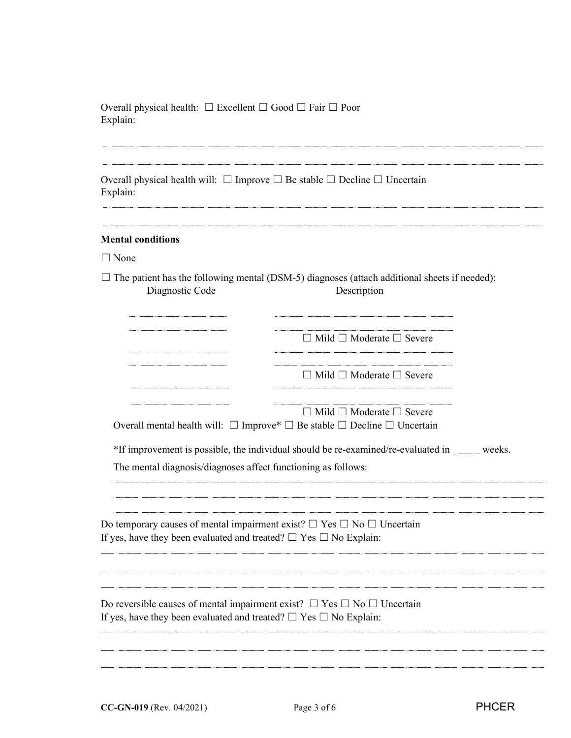Overall physical health: ☐ Excellent ☐ Good ☐ Fair ☐ Poor Explain:

Overall physical health will:  $\Box$  Improve  $\Box$  Be stable  $\Box$  Decline  $\Box$  Uncertain Explain:

#### **Mental conditions**

□ None

☐ The patient has the following mental (DSM-5) diagnoses (attach additional sheets if needed): Diagnostic Code

|                                                                                                                                                                      | $\Box$ Mild $\Box$ Moderate $\Box$ Severe                                                                                                 |
|----------------------------------------------------------------------------------------------------------------------------------------------------------------------|-------------------------------------------------------------------------------------------------------------------------------------------|
|                                                                                                                                                                      | $\Box$ Mild $\Box$ Moderate $\Box$ Severe                                                                                                 |
|                                                                                                                                                                      | $\Box$ Mild $\Box$ Moderate $\Box$ Severe<br>Overall mental health will: $\Box$ Improve* $\Box$ Be stable $\Box$ Decline $\Box$ Uncertain |
| The mental diagnosis/diagnoses affect functioning as follows:                                                                                                        | *If improvement is possible, the individual should be re-examined/re-evaluated in _____ weeks.                                            |
| Do temporary causes of mental impairment exist? $\Box$ Yes $\Box$ No $\Box$ Uncertain<br>If yes, have they been evaluated and treated? $\Box$ Yes $\Box$ No Explain: |                                                                                                                                           |
|                                                                                                                                                                      |                                                                                                                                           |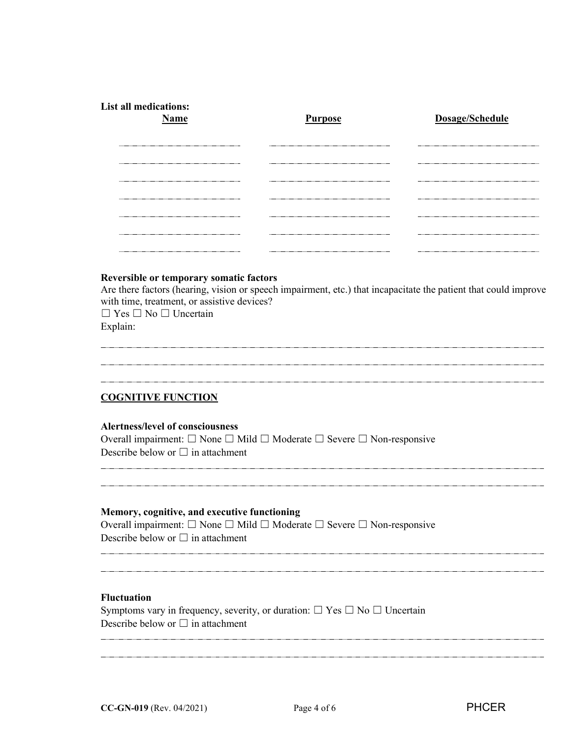| <b>List all medications:</b><br><b>Name</b> | <b>Purpose</b>                 | Dosage/Schedule |
|---------------------------------------------|--------------------------------|-----------------|
|                                             |                                |                 |
|                                             |                                |                 |
|                                             |                                |                 |
|                                             | ------------------------------ |                 |
|                                             |                                |                 |

### **Reversible or temporary somatic factors**

Are there factors (hearing, vision or speech impairment, etc.) that incapacitate the patient that could improve with time, treatment, or assistive devices?

☐ Yes ☐ No ☐ Uncertain Explain:

## **COGNITIVE FUNCTION**

#### **Alertness/level of consciousness**

Overall impairment: ☐ None ☐ Mild ☐ Moderate ☐ Severe ☐ Non-responsive Describe below or  $\Box$  in attachment

#### **Memory, cognitive, and executive functioning**

Overall impairment: ☐ None ☐ Mild ☐ Moderate ☐ Severe ☐ Non-responsive Describe below or  $\Box$  in attachment

## **Fluctuation**

Symptoms vary in frequency, severity, or duration:  $\Box$  Yes  $\Box$  No  $\Box$  Uncertain Describe below or  $\Box$  in attachment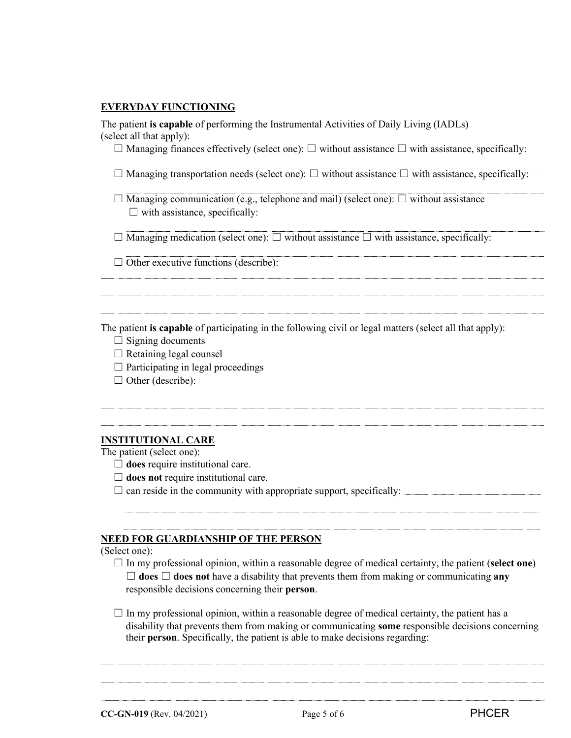### **EVERYDAY FUNCTIONING**

The patient **is capable** of performing the Instrumental Activities of Daily Living (IADLs) (select all that apply):

☐ Managing finances effectively (select one): ☐ without assistance ☐ with assistance, specifically:

☐ Managing transportation needs (select one): ☐ without assistance ☐ with assistance, specifically:

 $\Box$  Managing communication (e.g., telephone and mail) (select one):  $\Box$  without assistance  $\Box$  with assistance, specifically:

 $\Box$  Managing medication (select one):  $\Box$  without assistance  $\Box$  with assistance, specifically:

 $\Box$  Other executive functions (describe):

The patient **is capable** of participating in the following civil or legal matters (select all that apply):

- $\Box$  Signing documents
- $\Box$  Retaining legal counsel
- $\Box$  Participating in legal proceedings
- $\Box$  Other (describe):

#### **INSTITUTIONAL CARE**

The patient (select one):

- □ **does** require institutional care.
- ☐ **does not** require institutional care.

 $\Box$  can reside in the community with appropriate support, specifically:  $\Box$ 

#### **NEED FOR GUARDIANSHIP OF THE PERSON**

#### (Select one):

- ☐ In my professional opinion, within a reasonable degree of medical certainty, the patient (**select one**)  $\Box$  **does**  $\Box$  **does not** have a disability that prevents them from making or communicating any responsible decisions concerning their **person**.
- $\Box$  In my professional opinion, within a reasonable degree of medical certainty, the patient has a disability that prevents them from making or communicating **some** responsible decisions concerning their **person**. Specifically, the patient is able to make decisions regarding: